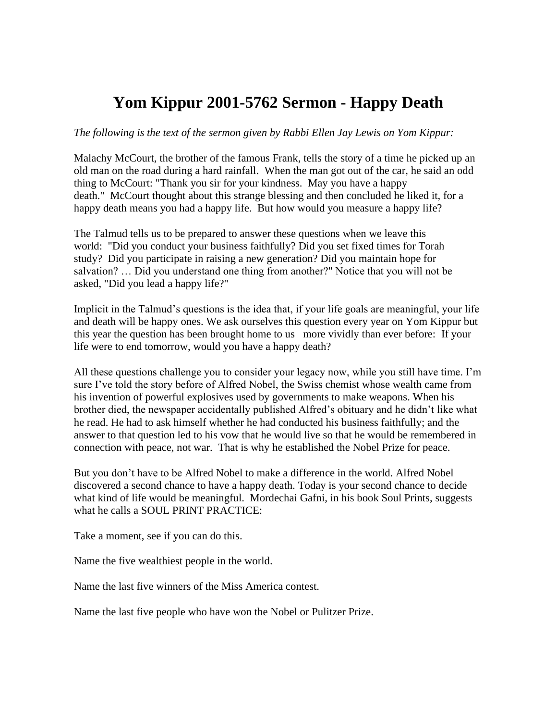## **Yom Kippur 2001-5762 Sermon - Happy Death**

## *The following is the text of the sermon given by Rabbi Ellen Jay Lewis on Yom Kippur:*

Malachy McCourt, the brother of the famous Frank, tells the story of a time he picked up an old man on the road during a hard rainfall. When the man got out of the car, he said an odd thing to McCourt: "Thank you sir for your kindness. May you have a happy death." McCourt thought about this strange blessing and then concluded he liked it, for a happy death means you had a happy life. But how would you measure a happy life?

The Talmud tells us to be prepared to answer these questions when we leave this world: "Did you conduct your business faithfully? Did you set fixed times for Torah study? Did you participate in raising a new generation? Did you maintain hope for salvation? … Did you understand one thing from another?" Notice that you will not be asked, "Did you lead a happy life?"

Implicit in the Talmud's questions is the idea that, if your life goals are meaningful, your life and death will be happy ones. We ask ourselves this question every year on Yom Kippur but this year the question has been brought home to us more vividly than ever before: If your life were to end tomorrow, would you have a happy death?

All these questions challenge you to consider your legacy now, while you still have time. I'm sure I've told the story before of Alfred Nobel, the Swiss chemist whose wealth came from his invention of powerful explosives used by governments to make weapons. When his brother died, the newspaper accidentally published Alfred's obituary and he didn't like what he read. He had to ask himself whether he had conducted his business faithfully; and the answer to that question led to his vow that he would live so that he would be remembered in connection with peace, not war. That is why he established the Nobel Prize for peace.

But you don't have to be Alfred Nobel to make a difference in the world. Alfred Nobel discovered a second chance to have a happy death. Today is your second chance to decide what kind of life would be meaningful. Mordechai Gafni, in his book Soul Prints, suggests what he calls a SOUL PRINT PRACTICE:

Take a moment, see if you can do this.

Name the five wealthiest people in the world.

Name the last five winners of the Miss America contest.

Name the last five people who have won the Nobel or Pulitzer Prize.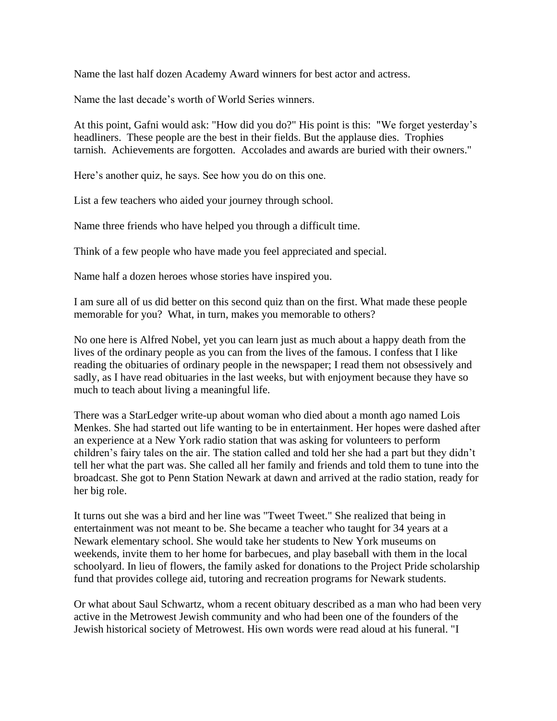Name the last half dozen Academy Award winners for best actor and actress.

Name the last decade's worth of World Series winners.

At this point, Gafni would ask: "How did you do?" His point is this: "We forget yesterday's headliners. These people are the best in their fields. But the applause dies. Trophies tarnish. Achievements are forgotten. Accolades and awards are buried with their owners."

Here's another quiz, he says. See how you do on this one.

List a few teachers who aided your journey through school.

Name three friends who have helped you through a difficult time.

Think of a few people who have made you feel appreciated and special.

Name half a dozen heroes whose stories have inspired you.

I am sure all of us did better on this second quiz than on the first. What made these people memorable for you? What, in turn, makes you memorable to others?

No one here is Alfred Nobel, yet you can learn just as much about a happy death from the lives of the ordinary people as you can from the lives of the famous. I confess that I like reading the obituaries of ordinary people in the newspaper; I read them not obsessively and sadly, as I have read obituaries in the last weeks, but with enjoyment because they have so much to teach about living a meaningful life.

There was a StarLedger write-up about woman who died about a month ago named Lois Menkes. She had started out life wanting to be in entertainment. Her hopes were dashed after an experience at a New York radio station that was asking for volunteers to perform children's fairy tales on the air. The station called and told her she had a part but they didn't tell her what the part was. She called all her family and friends and told them to tune into the broadcast. She got to Penn Station Newark at dawn and arrived at the radio station, ready for her big role.

It turns out she was a bird and her line was "Tweet Tweet." She realized that being in entertainment was not meant to be. She became a teacher who taught for 34 years at a Newark elementary school. She would take her students to New York museums on weekends, invite them to her home for barbecues, and play baseball with them in the local schoolyard. In lieu of flowers, the family asked for donations to the Project Pride scholarship fund that provides college aid, tutoring and recreation programs for Newark students.

Or what about Saul Schwartz, whom a recent obituary described as a man who had been very active in the Metrowest Jewish community and who had been one of the founders of the Jewish historical society of Metrowest. His own words were read aloud at his funeral. "I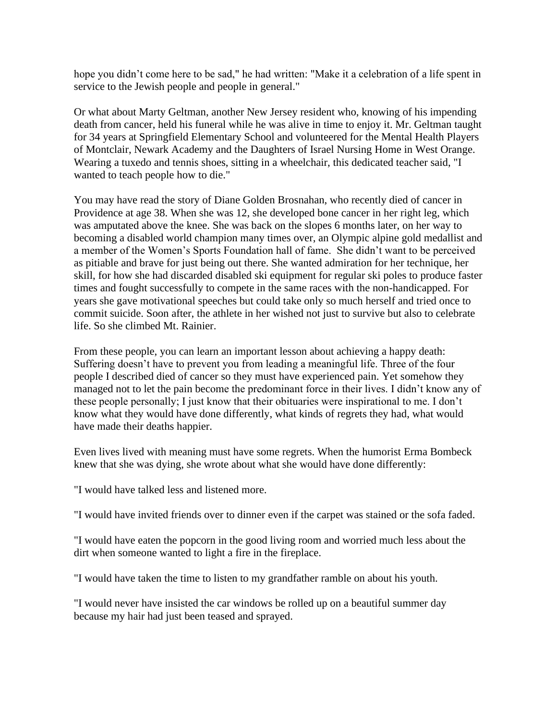hope you didn't come here to be sad," he had written: "Make it a celebration of a life spent in service to the Jewish people and people in general."

Or what about Marty Geltman, another New Jersey resident who, knowing of his impending death from cancer, held his funeral while he was alive in time to enjoy it. Mr. Geltman taught for 34 years at Springfield Elementary School and volunteered for the Mental Health Players of Montclair, Newark Academy and the Daughters of Israel Nursing Home in West Orange. Wearing a tuxedo and tennis shoes, sitting in a wheelchair, this dedicated teacher said, "I wanted to teach people how to die."

You may have read the story of Diane Golden Brosnahan, who recently died of cancer in Providence at age 38. When she was 12, she developed bone cancer in her right leg, which was amputated above the knee. She was back on the slopes 6 months later, on her way to becoming a disabled world champion many times over, an Olympic alpine gold medallist and a member of the Women's Sports Foundation hall of fame. She didn't want to be perceived as pitiable and brave for just being out there. She wanted admiration for her technique, her skill, for how she had discarded disabled ski equipment for regular ski poles to produce faster times and fought successfully to compete in the same races with the non-handicapped. For years she gave motivational speeches but could take only so much herself and tried once to commit suicide. Soon after, the athlete in her wished not just to survive but also to celebrate life. So she climbed Mt. Rainier.

From these people, you can learn an important lesson about achieving a happy death: Suffering doesn't have to prevent you from leading a meaningful life. Three of the four people I described died of cancer so they must have experienced pain. Yet somehow they managed not to let the pain become the predominant force in their lives. I didn't know any of these people personally; I just know that their obituaries were inspirational to me. I don't know what they would have done differently, what kinds of regrets they had, what would have made their deaths happier.

Even lives lived with meaning must have some regrets. When the humorist Erma Bombeck knew that she was dying, she wrote about what she would have done differently:

"I would have talked less and listened more.

"I would have invited friends over to dinner even if the carpet was stained or the sofa faded.

"I would have eaten the popcorn in the good living room and worried much less about the dirt when someone wanted to light a fire in the fireplace.

"I would have taken the time to listen to my grandfather ramble on about his youth.

"I would never have insisted the car windows be rolled up on a beautiful summer day because my hair had just been teased and sprayed.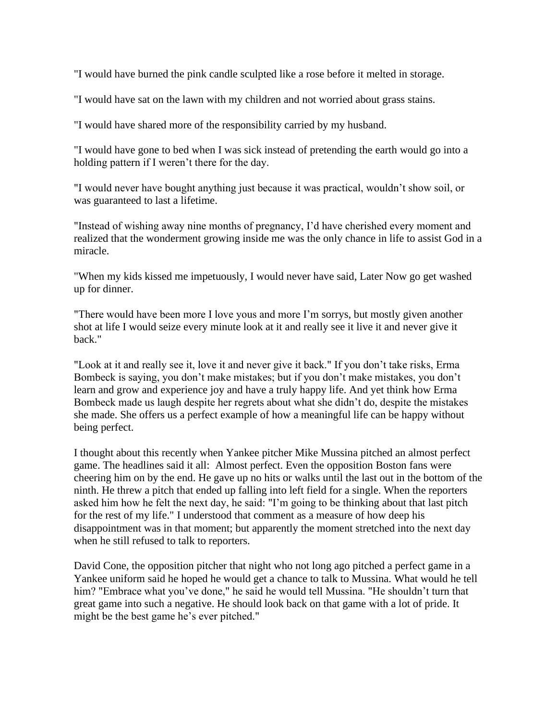"I would have burned the pink candle sculpted like a rose before it melted in storage.

"I would have sat on the lawn with my children and not worried about grass stains.

"I would have shared more of the responsibility carried by my husband.

"I would have gone to bed when I was sick instead of pretending the earth would go into a holding pattern if I weren't there for the day.

"I would never have bought anything just because it was practical, wouldn't show soil, or was guaranteed to last a lifetime.

"Instead of wishing away nine months of pregnancy, I'd have cherished every moment and realized that the wonderment growing inside me was the only chance in life to assist God in a miracle.

"When my kids kissed me impetuously, I would never have said, Later Now go get washed up for dinner.

"There would have been more I love yous and more I'm sorrys, but mostly given another shot at life I would seize every minute look at it and really see it live it and never give it back."

"Look at it and really see it, love it and never give it back." If you don't take risks, Erma Bombeck is saying, you don't make mistakes; but if you don't make mistakes, you don't learn and grow and experience joy and have a truly happy life. And yet think how Erma Bombeck made us laugh despite her regrets about what she didn't do, despite the mistakes she made. She offers us a perfect example of how a meaningful life can be happy without being perfect.

I thought about this recently when Yankee pitcher Mike Mussina pitched an almost perfect game. The headlines said it all: Almost perfect. Even the opposition Boston fans were cheering him on by the end. He gave up no hits or walks until the last out in the bottom of the ninth. He threw a pitch that ended up falling into left field for a single. When the reporters asked him how he felt the next day, he said: "I'm going to be thinking about that last pitch for the rest of my life." I understood that comment as a measure of how deep his disappointment was in that moment; but apparently the moment stretched into the next day when he still refused to talk to reporters.

David Cone, the opposition pitcher that night who not long ago pitched a perfect game in a Yankee uniform said he hoped he would get a chance to talk to Mussina. What would he tell him? "Embrace what you've done," he said he would tell Mussina. "He shouldn't turn that great game into such a negative. He should look back on that game with a lot of pride. It might be the best game he's ever pitched."